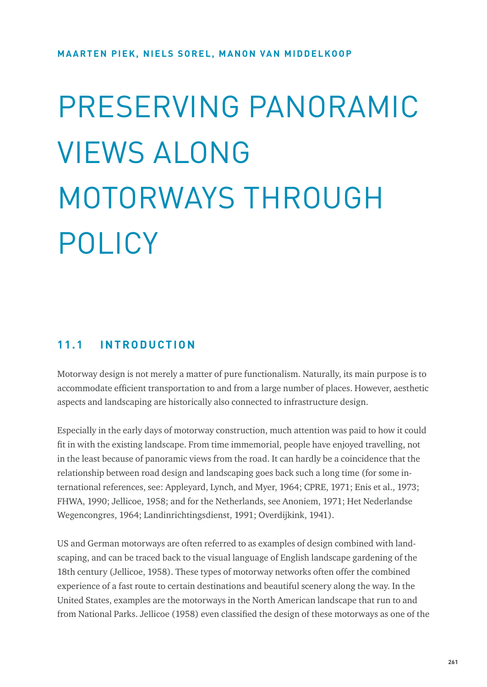# PRESERVING PANORAMIC VIEWS ALONG MOTORWAYS THROUGH POLICY

### **11.1 INTRODUCTION**

Motorway design is not merely a matter of pure functionalism. Naturally, its main purpose is to accommodate efficient transportation to and from a large number of places. However, aesthetic aspects and landscaping are historically also connected to infrastructure design.

Especially in the early days of motorway construction, much attention was paid to how it could fit in with the existing landscape. From time immemorial, people have enjoyed travelling, not in the least because of panoramic views from the road. It can hardly be a coincidence that the relationship between road design and landscaping goes back such a long time (for some international references, see: Appleyard, Lynch, and Myer, 1964; CPRE, 1971; Enis et al., 1973; FHWA, 1990; Jellicoe, 1958; and for the Netherlands, see Anoniem, 1971; Het Nederlandse Wegencongres, 1964; Landinrichtingsdienst, 1991; Overdijkink, 1941).

US and German motorways are often referred to as examples of design combined with landscaping, and can be traced back to the visual language of English landscape gardening of the 18th century (Jellicoe, 1958). These types of motorway networks often offer the combined experience of a fast route to certain destinations and beautiful scenery along the way. In the United States, examples are the motorways in the North American landscape that run to and from National Parks. Jellicoe (1958) even classified the design of these motorways as one of the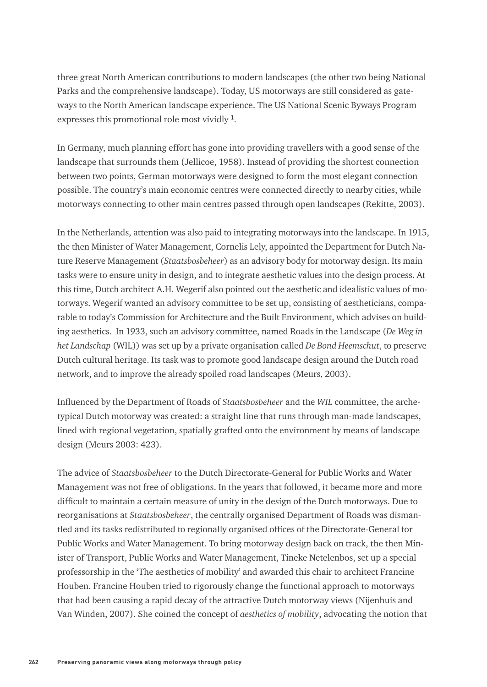three great North American contributions to modern landscapes (the other two being National Parks and the comprehensive landscape). Today, US motorways are still considered as gateways to the North American landscape experience. The US National Scenic Byways Program expresses this promotional role most vividly 1.

In Germany, much planning effort has gone into providing travellers with a good sense of the landscape that surrounds them (Jellicoe, 1958). Instead of providing the shortest connection between two points, German motorways were designed to form the most elegant connection possible. The country's main economic centres were connected directly to nearby cities, while motorways connecting to other main centres passed through open landscapes (Rekitte, 2003).

In the Netherlands, attention was also paid to integrating motorways into the landscape. In 1915, the then Minister of Water Management, Cornelis Lely, appointed the Department for Dutch Nature Reserve Management (*Staatsbosbeheer*) as an advisory body for motorway design. Its main tasks were to ensure unity in design, and to integrate aesthetic values into the design process. At this time, Dutch architect A.H. Wegerif also pointed out the aesthetic and idealistic values of motorways. Wegerif wanted an advisory committee to be set up, consisting of aestheticians, comparable to today's Commission for Architecture and the Built Environment, which advises on building aesthetics. In 1933, such an advisory committee, named Roads in the Landscape (*De Weg in het Landschap* (WIL)) was set up by a private organisation called *De Bond Heemschut*, to preserve Dutch cultural heritage. Its task was to promote good landscape design around the Dutch road network, and to improve the already spoiled road landscapes (Meurs, 2003).

Influenced by the Department of Roads of *Staatsbosbeheer* and the *WIL* committee, the archetypical Dutch motorway was created: a straight line that runs through man-made landscapes, lined with regional vegetation, spatially grafted onto the environment by means of landscape design (Meurs 2003: 423).

The advice of *Staatsbosbeheer* to the Dutch Directorate-General for Public Works and Water Management was not free of obligations. In the years that followed, it became more and more difficult to maintain a certain measure of unity in the design of the Dutch motorways. Due to reorganisations at *Staatsbosbeheer*, the centrally organised Department of Roads was dismantled and its tasks redistributed to regionally organised offices of the Directorate-General for Public Works and Water Management. To bring motorway design back on track, the then Minister of Transport, Public Works and Water Management, Tineke Netelenbos, set up a special professorship in the 'The aesthetics of mobility' and awarded this chair to architect Francine Houben. Francine Houben tried to rigorously change the functional approach to motorways that had been causing a rapid decay of the attractive Dutch motorway views (Nijenhuis and Van Winden, 2007). She coined the concept of *aesthetics of mobility*, advocating the notion that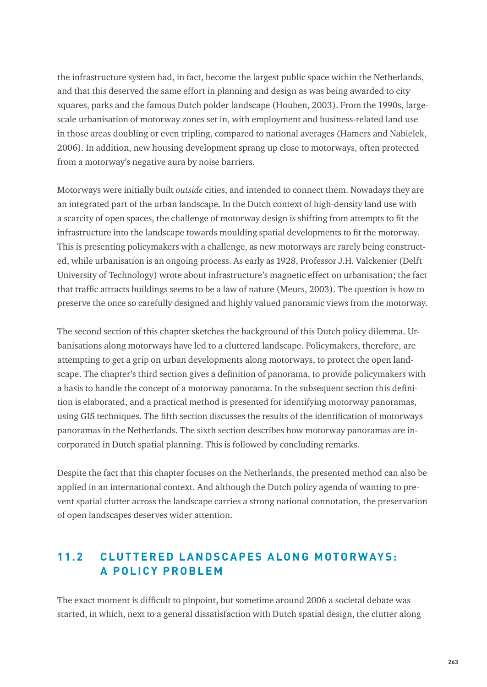the infrastructure system had, in fact, become the largest public space within the Netherlands, and that this deserved the same effort in planning and design as was being awarded to city squares, parks and the famous Dutch polder landscape (Houben, 2003). From the 1990s, largescale urbanisation of motorway zones set in, with employment and business-related land use in those areas doubling or even tripling, compared to national averages (Hamers and Nabielek, 2006). In addition, new housing development sprang up close to motorways, often protected from a motorway's negative aura by noise barriers.

Motorways were initially built *outside* cities, and intended to connect them. Nowadays they are an integrated part of the urban landscape. In the Dutch context of high-density land use with a scarcity of open spaces, the challenge of motorway design is shifting from attempts to fit the infrastructure into the landscape towards moulding spatial developments to fit the motorway. This is presenting policymakers with a challenge, as new motorways are rarely being constructed, while urbanisation is an ongoing process. As early as 1928, Professor J.H. Valckenier (Delft University of Technology) wrote about infrastructure's magnetic effect on urbanisation; the fact that traffic attracts buildings seems to be a law of nature (Meurs, 2003). The question is how to preserve the once so carefully designed and highly valued panoramic views from the motorway.

The second section of this chapter sketches the background of this Dutch policy dilemma. Urbanisations along motorways have led to a cluttered landscape. Policymakers, therefore, are attempting to get a grip on urban developments along motorways, to protect the open landscape. The chapter's third section gives a definition of panorama, to provide policymakers with a basis to handle the concept of a motorway panorama. In the subsequent section this definition is elaborated, and a practical method is presented for identifying motorway panoramas, using GIS techniques. The fifth section discusses the results of the identification of motorways panoramas in the Netherlands. The sixth section describes how motorway panoramas are incorporated in Dutch spatial planning. This is followed by concluding remarks.

Despite the fact that this chapter focuses on the Netherlands, the presented method can also be applied in an international context. And although the Dutch policy agenda of wanting to prevent spatial clutter across the landscape carries a strong national connotation, the preservation of open landscapes deserves wider attention.

# **11.2 CLUTTERED LANDSCAPES ALONG MOTORWAYS: A POLICY PROBLEM**

The exact moment is difficult to pinpoint, but sometime around 2006 a societal debate was started, in which, next to a general dissatisfaction with Dutch spatial design, the clutter along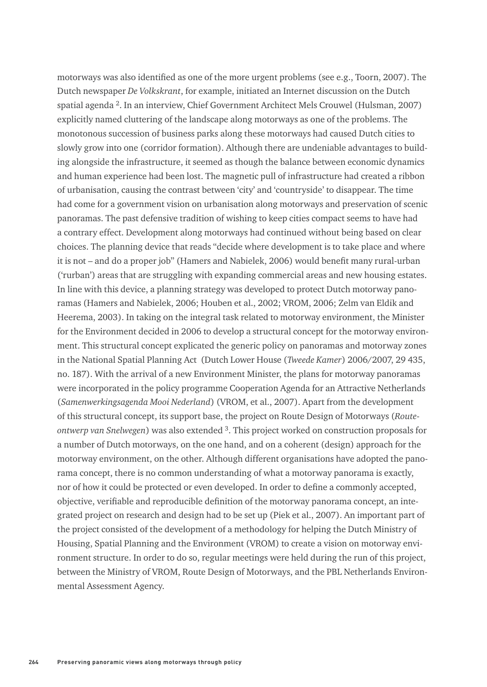motorways was also identified as one of the more urgent problems (see e.g., Toorn, 2007). The Dutch newspaper *De Volkskrant*, for example, initiated an Internet discussion on the Dutch spatial agenda 2. In an interview, Chief Government Architect Mels Crouwel (Hulsman, 2007) explicitly named cluttering of the landscape along motorways as one of the problems. The monotonous succession of business parks along these motorways had caused Dutch cities to slowly grow into one (corridor formation). Although there are undeniable advantages to building alongside the infrastructure, it seemed as though the balance between economic dynamics and human experience had been lost. The magnetic pull of infrastructure had created a ribbon of urbanisation, causing the contrast between 'city' and 'countryside' to disappear. The time had come for a government vision on urbanisation along motorways and preservation of scenic panoramas. The past defensive tradition of wishing to keep cities compact seems to have had a contrary effect. Development along motorways had continued without being based on clear choices. The planning device that reads "decide where development is to take place and where it is not – and do a proper job" (Hamers and Nabielek, 2006) would benefit many rural-urban ('rurban') areas that are struggling with expanding commercial areas and new housing estates. In line with this device, a planning strategy was developed to protect Dutch motorway panoramas (Hamers and Nabielek, 2006; Houben et al., 2002; VROM, 2006; Zelm van Eldik and Heerema, 2003). In taking on the integral task related to motorway environment, the Minister for the Environment decided in 2006 to develop a structural concept for the motorway environment. This structural concept explicated the generic policy on panoramas and motorway zones in the National Spatial Planning Act (Dutch Lower House (*Tweede Kamer*) 2006/2007, 29 435, no. 187). With the arrival of a new Environment Minister, the plans for motorway panoramas were incorporated in the policy programme Cooperation Agenda for an Attractive Netherlands (*Samenwerkingsagenda Mooi Nederland*) (VROM, et al., 2007). Apart from the development of this structural concept, its support base, the project on Route Design of Motorways (*Routeontwerp van Snelwegen*) was also extended 3. This project worked on construction proposals for a number of Dutch motorways, on the one hand, and on a coherent (design) approach for the motorway environment, on the other. Although different organisations have adopted the panorama concept, there is no common understanding of what a motorway panorama is exactly, nor of how it could be protected or even developed. In order to define a commonly accepted, objective, verifiable and reproducible definition of the motorway panorama concept, an integrated project on research and design had to be set up (Piek et al., 2007). An important part of the project consisted of the development of a methodology for helping the Dutch Ministry of Housing, Spatial Planning and the Environment (VROM) to create a vision on motorway environment structure. In order to do so, regular meetings were held during the run of this project, between the Ministry of VROM, Route Design of Motorways, and the PBL Netherlands Environmental Assessment Agency.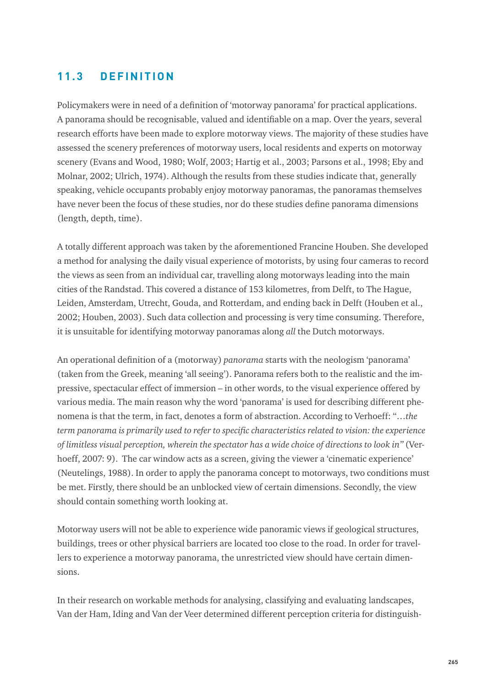# **11.3 DEFINITION**

Policymakers were in need of a definition of 'motorway panorama' for practical applications. A panorama should be recognisable, valued and identifiable on a map. Over the years, several research efforts have been made to explore motorway views. The majority of these studies have assessed the scenery preferences of motorway users, local residents and experts on motorway scenery (Evans and Wood, 1980; Wolf, 2003; Hartig et al., 2003; Parsons et al., 1998; Eby and Molnar, 2002; Ulrich, 1974). Although the results from these studies indicate that, generally speaking, vehicle occupants probably enjoy motorway panoramas, the panoramas themselves have never been the focus of these studies, nor do these studies define panorama dimensions (length, depth, time).

A totally different approach was taken by the aforementioned Francine Houben. She developed a method for analysing the daily visual experience of motorists, by using four cameras to record the views as seen from an individual car, travelling along motorways leading into the main cities of the Randstad. This covered a distance of 153 kilometres, from Delft, to The Hague, Leiden, Amsterdam, Utrecht, Gouda, and Rotterdam, and ending back in Delft (Houben et al., 2002; Houben, 2003). Such data collection and processing is very time consuming. Therefore, it is unsuitable for identifying motorway panoramas along *all* the Dutch motorways.

An operational definition of a (motorway) *panorama* starts with the neologism 'panorama' (taken from the Greek, meaning 'all seeing'). Panorama refers both to the realistic and the impressive, spectacular effect of immersion – in other words, to the visual experience offered by various media. The main reason why the word 'panorama' is used for describing different phenomena is that the term, in fact, denotes a form of abstraction. According to Verhoeff: "…*the term panorama is primarily used to refer to specifi c characteristics related to vision: the experience of limitless visual perception, wherein the spectator has a wide choice of directions to look in"* (Verhoeff, 2007: 9). The car window acts as a screen, giving the viewer a 'cinematic experience' (Neutelings, 1988). In order to apply the panorama concept to motorways, two conditions must be met. Firstly, there should be an unblocked view of certain dimensions. Secondly, the view should contain something worth looking at.

Motorway users will not be able to experience wide panoramic views if geological structures, buildings, trees or other physical barriers are located too close to the road. In order for travellers to experience a motorway panorama, the unrestricted view should have certain dimensions.

In their research on workable methods for analysing, classifying and evaluating landscapes, Van der Ham, Iding and Van der Veer determined different perception criteria for distinguish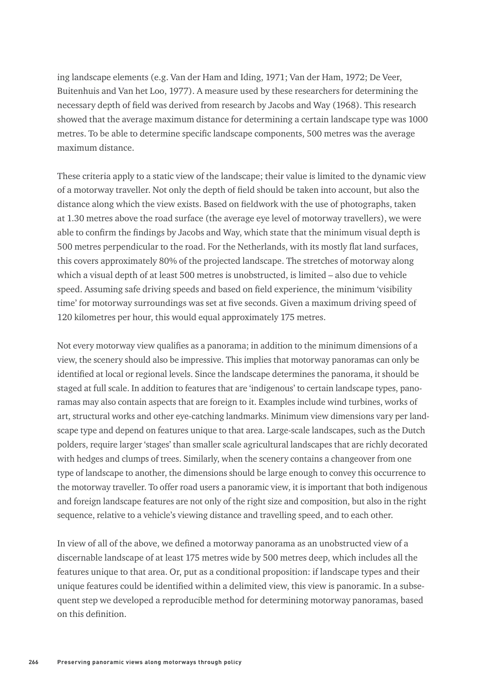ing landscape elements (e.g. Van der Ham and Iding, 1971; Van der Ham, 1972; De Veer, Buitenhuis and Van het Loo, 1977). A measure used by these researchers for determining the necessary depth of field was derived from research by Jacobs and Way (1968). This research showed that the average maximum distance for determining a certain landscape type was 1000 metres. To be able to determine specific landscape components, 500 metres was the average maximum distance.

These criteria apply to a static view of the landscape; their value is limited to the dynamic view of a motorway traveller. Not only the depth of field should be taken into account, but also the distance along which the view exists. Based on fieldwork with the use of photographs, taken at 1.30 metres above the road surface (the average eye level of motorway travellers), we were able to confirm the findings by Jacobs and Way, which state that the minimum visual depth is 500 metres perpendicular to the road. For the Netherlands, with its mostly flat land surfaces, this covers approximately 80% of the projected landscape. The stretches of motorway along which a visual depth of at least 500 metres is unobstructed, is limited – also due to vehicle speed. Assuming safe driving speeds and based on field experience, the minimum 'visibility time' for motorway surroundings was set at five seconds. Given a maximum driving speed of 120 kilometres per hour, this would equal approximately 175 metres.

Not every motorway view qualifies as a panorama; in addition to the minimum dimensions of a view, the scenery should also be impressive. This implies that motorway panoramas can only be identified at local or regional levels. Since the landscape determines the panorama, it should be staged at full scale. In addition to features that are 'indigenous' to certain landscape types, panoramas may also contain aspects that are foreign to it. Examples include wind turbines, works of art, structural works and other eye-catching landmarks. Minimum view dimensions vary per landscape type and depend on features unique to that area. Large-scale landscapes, such as the Dutch polders, require larger 'stages' than smaller scale agricultural landscapes that are richly decorated with hedges and clumps of trees. Similarly, when the scenery contains a changeover from one type of landscape to another, the dimensions should be large enough to convey this occurrence to the motorway traveller. To offer road users a panoramic view, it is important that both indigenous and foreign landscape features are not only of the right size and composition, but also in the right sequence, relative to a vehicle's viewing distance and travelling speed, and to each other.

In view of all of the above, we defined a motorway panorama as an unobstructed view of a discernable landscape of at least 175 metres wide by 500 metres deep, which includes all the features unique to that area. Or, put as a conditional proposition: if landscape types and their unique features could be identified within a delimited view, this view is panoramic. In a subsequent step we developed a reproducible method for determining motorway panoramas, based on this definition.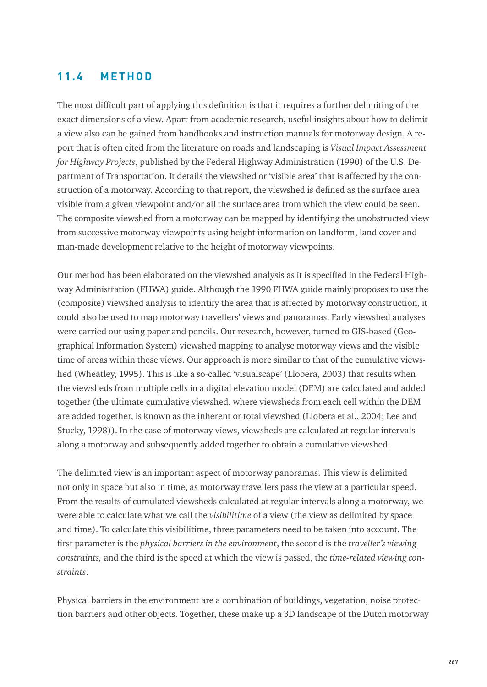### **11.4 METHOD**

The most difficult part of applying this definition is that it requires a further delimiting of the exact dimensions of a view. Apart from academic research, useful insights about how to delimit a view also can be gained from handbooks and instruction manuals for motorway design. A report that is often cited from the literature on roads and landscaping is *Visual Impact Assessment for Highway Projects*, published by the Federal Highway Administration (1990) of the U.S. Department of Transportation. It details the viewshed or 'visible area' that is affected by the construction of a motorway. According to that report, the viewshed is defined as the surface area visible from a given viewpoint and/or all the surface area from which the view could be seen. The composite viewshed from a motorway can be mapped by identifying the unobstructed view from successive motorway viewpoints using height information on landform, land cover and man-made development relative to the height of motorway viewpoints.

Our method has been elaborated on the viewshed analysis as it is specified in the Federal Highway Administration (FHWA) guide. Although the 1990 FHWA guide mainly proposes to use the (composite) viewshed analysis to identify the area that is affected by motorway construction, it could also be used to map motorway travellers' views and panoramas. Early viewshed analyses were carried out using paper and pencils. Our research, however, turned to GIS-based (Geographical Information System) viewshed mapping to analyse motorway views and the visible time of areas within these views. Our approach is more similar to that of the cumulative viewshed (Wheatley, 1995). This is like a so-called 'visualscape' (Llobera, 2003) that results when the viewsheds from multiple cells in a digital elevation model (DEM) are calculated and added together (the ultimate cumulative viewshed, where viewsheds from each cell within the DEM are added together, is known as the inherent or total viewshed (Llobera et al., 2004; Lee and Stucky, 1998)). In the case of motorway views, viewsheds are calculated at regular intervals along a motorway and subsequently added together to obtain a cumulative viewshed.

The delimited view is an important aspect of motorway panoramas. This view is delimited not only in space but also in time, as motorway travellers pass the view at a particular speed. From the results of cumulated viewsheds calculated at regular intervals along a motorway, we were able to calculate what we call the *visibilitime* of a view (the view as delimited by space and time). To calculate this visibilitime, three parameters need to be taken into account. The first parameter is the *physical barriers in the environment*, the second is the *traveller's viewing constraints,* and the third is the speed at which the view is passed, the *time-related viewing constraints*.

Physical barriers in the environment are a combination of buildings, vegetation, noise protection barriers and other objects. Together, these make up a 3D landscape of the Dutch motorway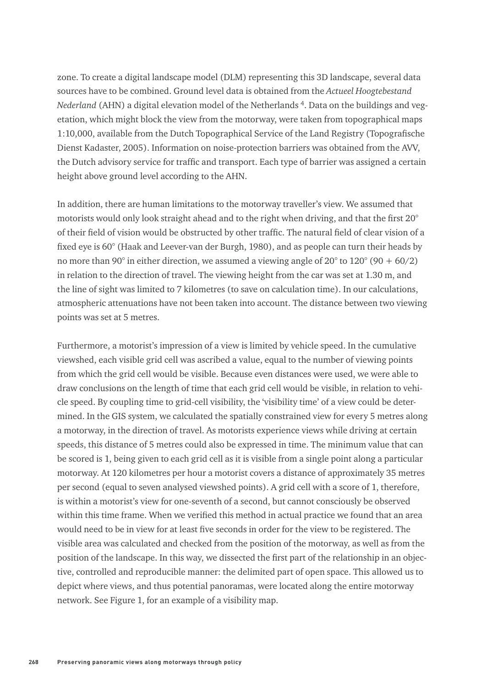zone. To create a digital landscape model (DLM) representing this 3D landscape, several data sources have to be combined. Ground level data is obtained from the *Actueel Hoogtebestand Nederland* (AHN) a digital elevation model of the Netherlands 4. Data on the buildings and vegetation, which might block the view from the motorway, were taken from topographical maps 1:10,000, available from the Dutch Topographical Service of the Land Registry (Topografische Dienst Kadaster, 2005). Information on noise-protection barriers was obtained from the AVV, the Dutch advisory service for traffic and transport. Each type of barrier was assigned a certain height above ground level according to the AHN.

In addition, there are human limitations to the motorway traveller's view. We assumed that motorists would only look straight ahead and to the right when driving, and that the first 20° of their field of vision would be obstructed by other traffic. The natural field of clear vision of a fixed eye is 60° (Haak and Leever-van der Burgh, 1980), and as people can turn their heads by no more than 90 $\degree$  in either direction, we assumed a viewing angle of 20 $\degree$  to 120 $\degree$  (90 + 60/2) in relation to the direction of travel. The viewing height from the car was set at 1.30 m, and the line of sight was limited to 7 kilometres (to save on calculation time). In our calculations, atmospheric attenuations have not been taken into account. The distance between two viewing points was set at 5 metres.

Furthermore, a motorist's impression of a view is limited by vehicle speed. In the cumulative viewshed, each visible grid cell was ascribed a value, equal to the number of viewing points from which the grid cell would be visible. Because even distances were used, we were able to draw conclusions on the length of time that each grid cell would be visible, in relation to vehicle speed. By coupling time to grid-cell visibility, the 'visibility time' of a view could be determined. In the GIS system, we calculated the spatially constrained view for every 5 metres along a motorway, in the direction of travel. As motorists experience views while driving at certain speeds, this distance of 5 metres could also be expressed in time. The minimum value that can be scored is 1, being given to each grid cell as it is visible from a single point along a particular motorway. At 120 kilometres per hour a motorist covers a distance of approximately 35 metres per second (equal to seven analysed viewshed points). A grid cell with a score of 1, therefore, is within a motorist's view for one-seventh of a second, but cannot consciously be observed within this time frame. When we verified this method in actual practice we found that an area would need to be in view for at least five seconds in order for the view to be registered. The visible area was calculated and checked from the position of the motorway, as well as from the position of the landscape. In this way, we dissected the first part of the relationship in an objective, controlled and reproducible manner: the delimited part of open space. This allowed us to depict where views, and thus potential panoramas, were located along the entire motorway network. See Figure 1, for an example of a visibility map.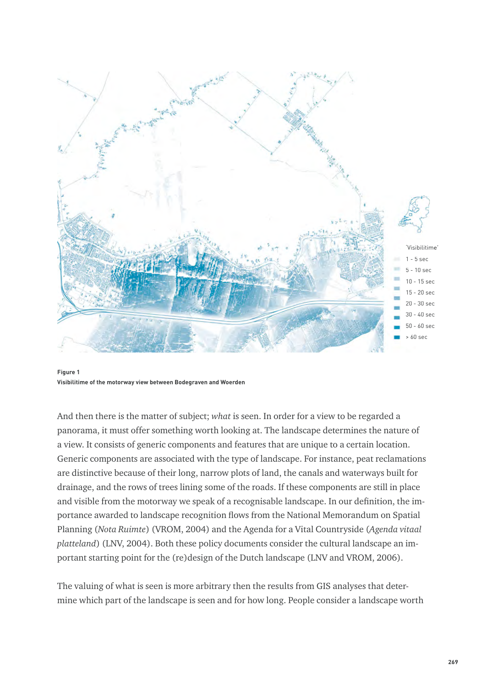

#### **Figure 1 Visibilitime of the motorway view between Bodegraven and Woerden**

And then there is the matter of subject; *what* is seen. In order for a view to be regarded a panorama, it must offer something worth looking at. The landscape determines the nature of a view. It consists of generic components and features that are unique to a certain location. Generic components are associated with the type of landscape. For instance, peat reclamations are distinctive because of their long, narrow plots of land, the canals and waterways built for drainage, and the rows of trees lining some of the roads. If these components are still in place and visible from the motorway we speak of a recognisable landscape. In our definition, the importance awarded to landscape recognition flows from the National Memorandum on Spatial Planning (*Nota Ruimte*) (VROM, 2004) and the Agenda for a Vital Countryside (*Agenda vitaal platteland*) (LNV, 2004). Both these policy documents consider the cultural landscape an important starting point for the (re)design of the Dutch landscape (LNV and VROM, 2006).

The valuing of what is seen is more arbitrary then the results from GIS analyses that determine which part of the landscape is seen and for how long. People consider a landscape worth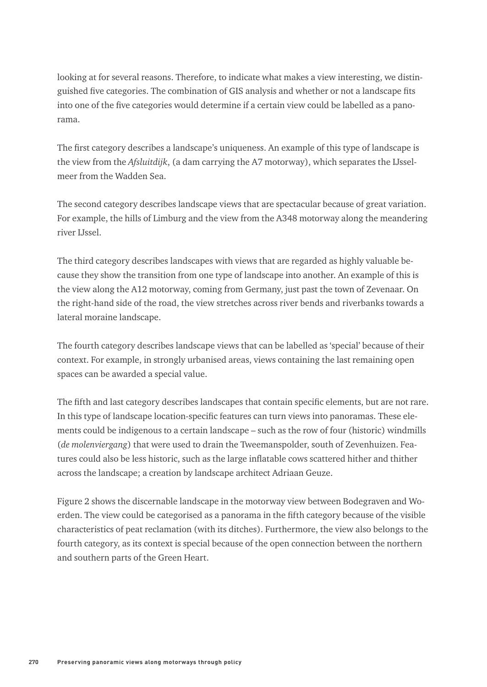looking at for several reasons. Therefore, to indicate what makes a view interesting, we distinguished five categories. The combination of GIS analysis and whether or not a landscape fits into one of the five categories would determine if a certain view could be labelled as a panorama.

The first category describes a landscape's uniqueness. An example of this type of landscape is the view from the *Afsluitdijk*, (a dam carrying the A7 motorway), which separates the IJsselmeer from the Wadden Sea.

The second category describes landscape views that are spectacular because of great variation. For example, the hills of Limburg and the view from the A348 motorway along the meandering river IJssel.

The third category describes landscapes with views that are regarded as highly valuable because they show the transition from one type of landscape into another. An example of this is the view along the A12 motorway, coming from Germany, just past the town of Zevenaar. On the right-hand side of the road, the view stretches across river bends and riverbanks towards a lateral moraine landscape.

The fourth category describes landscape views that can be labelled as 'special' because of their context. For example, in strongly urbanised areas, views containing the last remaining open spaces can be awarded a special value.

The fifth and last category describes landscapes that contain specific elements, but are not rare. In this type of landscape location-specific features can turn views into panoramas. These elements could be indigenous to a certain landscape – such as the row of four (historic) windmills (*de molenviergang*) that were used to drain the Tweemanspolder, south of Zevenhuizen. Features could also be less historic, such as the large inflatable cows scattered hither and thither across the landscape; a creation by landscape architect Adriaan Geuze.

Figure 2 shows the discernable landscape in the motorway view between Bodegraven and Woerden. The view could be categorised as a panorama in the fifth category because of the visible characteristics of peat reclamation (with its ditches). Furthermore, the view also belongs to the fourth category, as its context is special because of the open connection between the northern and southern parts of the Green Heart.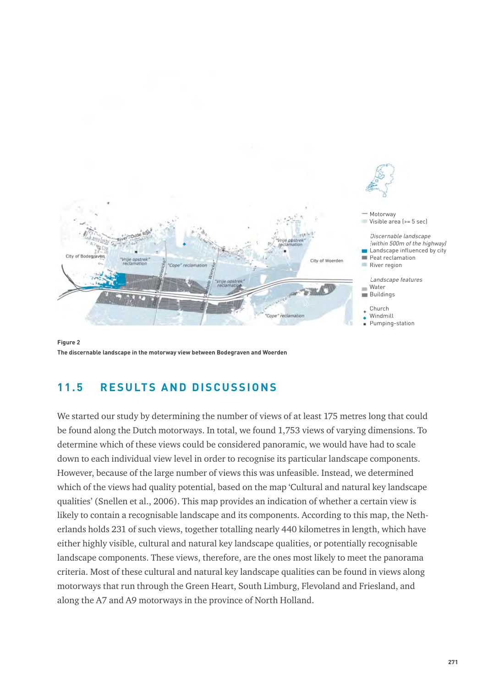

**Figure 2 The discernable landscape in the motorway view between Bodegraven and Woerden**

# **11.5 RESULTS AND DISCUSSIONS**

We started our study by determining the number of views of at least 175 metres long that could be found along the Dutch motorways. In total, we found 1,753 views of varying dimensions. To determine which of these views could be considered panoramic, we would have had to scale down to each individual view level in order to recognise its particular landscape components. However, because of the large number of views this was unfeasible. Instead, we determined which of the views had quality potential, based on the map 'Cultural and natural key landscape qualities' (Snellen et al., 2006). This map provides an indication of whether a certain view is likely to contain a recognisable landscape and its components. According to this map, the Netherlands holds 231 of such views, together totalling nearly 440 kilometres in length, which have either highly visible, cultural and natural key landscape qualities, or potentially recognisable landscape components. These views, therefore, are the ones most likely to meet the panorama criteria. Most of these cultural and natural key landscape qualities can be found in views along motorways that run through the Green Heart, South Limburg, Flevoland and Friesland, and along the A7 and A9 motorways in the province of North Holland.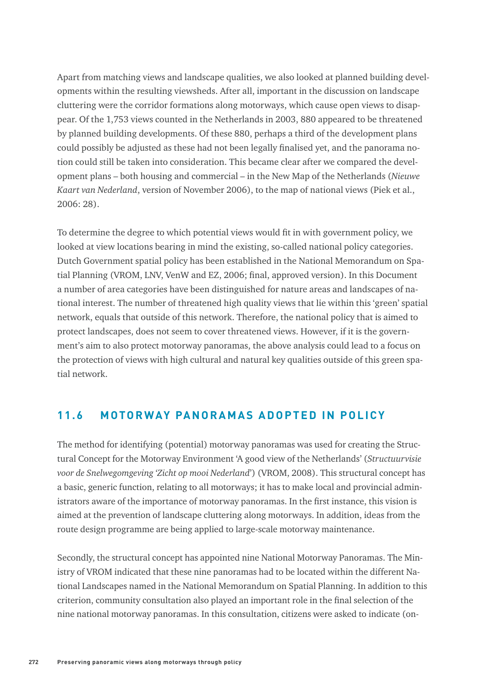Apart from matching views and landscape qualities, we also looked at planned building developments within the resulting viewsheds. After all, important in the discussion on landscape cluttering were the corridor formations along motorways, which cause open views to disappear. Of the 1,753 views counted in the Netherlands in 2003, 880 appeared to be threatened by planned building developments. Of these 880, perhaps a third of the development plans could possibly be adjusted as these had not been legally finalised yet, and the panorama notion could still be taken into consideration. This became clear after we compared the development plans – both housing and commercial – in the New Map of the Netherlands (*Nieuwe Kaart van Nederland*, version of November 2006), to the map of national views (Piek et al.,  $2006:28$ 

To determine the degree to which potential views would fit in with government policy, we looked at view locations bearing in mind the existing, so-called national policy categories. Dutch Government spatial policy has been established in the National Memorandum on Spatial Planning (VROM, LNV, VenW and EZ, 2006; final, approved version). In this Document a number of area categories have been distinguished for nature areas and landscapes of national interest. The number of threatened high quality views that lie within this 'green' spatial network, equals that outside of this network. Therefore, the national policy that is aimed to protect landscapes, does not seem to cover threatened views. However, if it is the government's aim to also protect motorway panoramas, the above analysis could lead to a focus on the protection of views with high cultural and natural key qualities outside of this green spatial network.

#### **11.6 MOTORWAY PANORAMAS ADOPTED IN POLICY**

The method for identifying (potential) motorway panoramas was used for creating the Structural Concept for the Motorway Environment 'A good view of the Netherlands' (*Structuurvisie voor de Snelwegomgeving 'Zicht op mooi Nederland*') (VROM, 2008). This structural concept has a basic, generic function, relating to all motorways; it has to make local and provincial administrators aware of the importance of motorway panoramas. In the first instance, this vision is aimed at the prevention of landscape cluttering along motorways. In addition, ideas from the route design programme are being applied to large-scale motorway maintenance.

Secondly, the structural concept has appointed nine National Motorway Panoramas. The Ministry of VROM indicated that these nine panoramas had to be located within the different National Landscapes named in the National Memorandum on Spatial Planning. In addition to this criterion, community consultation also played an important role in the final selection of the nine national motorway panoramas. In this consultation, citizens were asked to indicate (on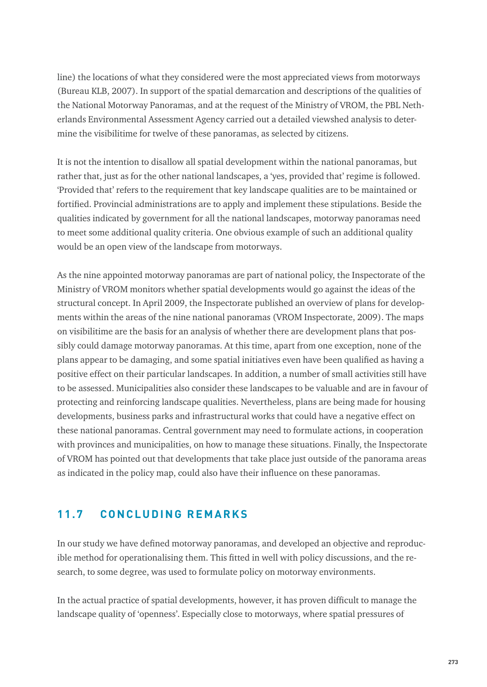line) the locations of what they considered were the most appreciated views from motorways (Bureau KLB, 2007). In support of the spatial demarcation and descriptions of the qualities of the National Motorway Panoramas, and at the request of the Ministry of VROM, the PBL Netherlands Environmental Assessment Agency carried out a detailed viewshed analysis to determine the visibilitime for twelve of these panoramas, as selected by citizens.

It is not the intention to disallow all spatial development within the national panoramas, but rather that, just as for the other national landscapes, a 'yes, provided that' regime is followed. 'Provided that' refers to the requirement that key landscape qualities are to be maintained or fortified. Provincial administrations are to apply and implement these stipulations. Beside the qualities indicated by government for all the national landscapes, motorway panoramas need to meet some additional quality criteria. One obvious example of such an additional quality would be an open view of the landscape from motorways.

As the nine appointed motorway panoramas are part of national policy, the Inspectorate of the Ministry of VROM monitors whether spatial developments would go against the ideas of the structural concept. In April 2009, the Inspectorate published an overview of plans for developments within the areas of the nine national panoramas (VROM Inspectorate, 2009). The maps on visibilitime are the basis for an analysis of whether there are development plans that possibly could damage motorway panoramas. At this time, apart from one exception, none of the plans appear to be damaging, and some spatial initiatives even have been qualified as having a positive effect on their particular landscapes. In addition, a number of small activities still have to be assessed. Municipalities also consider these landscapes to be valuable and are in favour of protecting and reinforcing landscape qualities. Nevertheless, plans are being made for housing developments, business parks and infrastructural works that could have a negative effect on these national panoramas. Central government may need to formulate actions, in cooperation with provinces and municipalities, on how to manage these situations. Finally, the Inspectorate of VROM has pointed out that developments that take place just outside of the panorama areas as indicated in the policy map, could also have their influence on these panoramas.

# **11.7 CONCLUDING REMARKS**

In our study we have defined motorway panoramas, and developed an objective and reproducible method for operationalising them. This fitted in well with policy discussions, and the research, to some degree, was used to formulate policy on motorway environments.

In the actual practice of spatial developments, however, it has proven difficult to manage the landscape quality of 'openness'. Especially close to motorways, where spatial pressures of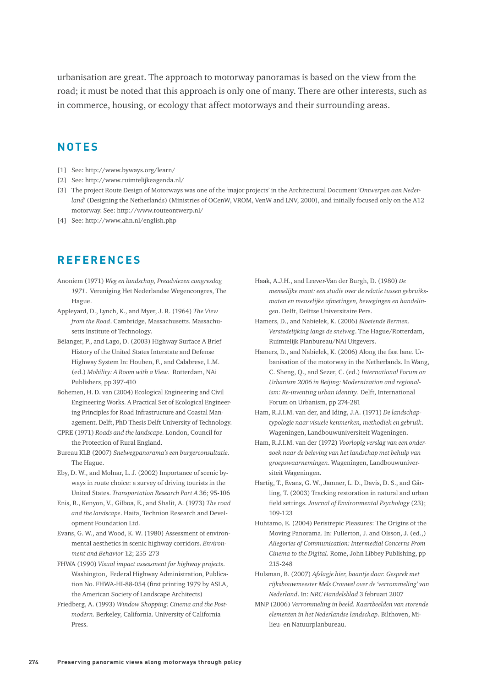urbanisation are great. The approach to motorway panoramas is based on the view from the road; it must be noted that this approach is only one of many. There are other interests, such as in commerce, housing, or ecology that affect motorways and their surrounding areas.

#### **NOTES**

- [1] See: http://www.byways.org/learn/
- [2] See: http://www.ruimtelijkeagenda.nl/
- [3] The project Route Design of Motorways was one of the 'major projects' in the Architectural Document '*Ontwerpen aan Nederland*' (Designing the Netherlands) (Ministries of OCenW, VROM, VenW and LNV, 2000), and initially focused only on the A12 motorway. See: http://www.routeontwerp.nl/
- [4] See: http://www.ahn.nl/english.php

## **REFERENCES**

- Anoniem (1971) *Weg en landschap, Preadviezen congresdag 1971*. Vereniging Het Nederlandse Wegencongres, The Hague.
- Appleyard, D., Lynch, K., and Myer, J. R. (1964) *The View from the Road*. Cambridge, Massachusetts. Massachusetts Institute of Technology.
- Bélanger, P., and Lago, D. (2003) Highway Surface A Brief History of the United States Interstate and Defense Highway System In: Houben, F., and Calabrese, L.M. (ed.) *Mobility: A Room with a View*. Rotterdam, NAi Publishers, pp 397-410
- Bohemen, H. D. van (2004) Ecological Engineering and Civil Engineering Works. A Practical Set of Ecological Engineering Principles for Road Infrastructure and Coastal Management. Delft, PhD Thesis Delft University of Technology.
- CPRE (1971) *Roads and the landscape.* London, Council for the Protection of Rural England.
- Bureau KLB (2007) *Snelwegpanorama's een burgerconsultatie*. The Hague.
- Eby, D. W., and Molnar, L. J. (2002) Importance of scenic byways in route choice: a survey of driving tourists in the United States. *Transportation Research Part A* 36; 95-106
- Enis, R., Kenyon, V., Gilboa, E., and Shalit, A. (1973) *The road and the landscape*. Haifa, Technion Research and Development Foundation Ltd.
- Evans, G. W., and Wood, K. W. (1980) Assessment of environmental aesthetics in scenic highway corridors. *Environment and Behavior* 12; 255-273
- FHWA (1990) *Visual impact assessment for highway projects*. Washington, Federal Highway Administration, Publication No. FHWA-HI-88-054 (first printing 1979 by ASLA, the American Society of Landscape Architects)
- Friedberg, A. (1993) *Window Shopping: Cinema and the Postmodern.* Berkeley, California. University of California Press.
- Haak, A.J.H., and Leever-Van der Burgh, D. (1980) *De menselijke maat: een studie over de relatie tussen gebruiksmaten en menselijke afmetingen, bewegingen en handelingen*. Delft, Delftse Universitaire Pers.
- Hamers, D., and Nabielek, K. (2006) *Bloeiende Bermen. Verstedelijking langs de snelweg*. The Hague/Rotterdam, Ruimtelijk Planbureau/NAi Uitgevers.
- Hamers, D., and Nabielek, K. (2006) Along the fast lane. Urbanisation of the motorway in the Netherlands. In Wang, C. Sheng, Q., and Sezer, C. (ed.) *International Forum on Urbanism 2006 in Beijing: Modernization and regionalism: Re-inventing urban identity*. Delft, International Forum on Urbanism, pp 274-281
- Ham, R.J.I.M. van der, and Iding, J.A. (1971) *De landschaptypologie naar visuele kenmerken, methodiek en gebruik*. Wageningen, Landbouwuniversiteit Wageningen.
- Ham, R.J.I.M. van der (1972) *Voorlopig verslag van een onderzoek naar de beleving van het landschap met behulp van groepswaarnemingen*. Wageningen, Landbouwuniversiteit Wageningen.
- Hartig, T., Evans, G. W., Jamner, L. D., Davis, D. S., and Gärling, T. (2003) Tracking restoration in natural and urban field settings. *Journal of Environmental Psychology* (23); 109-123
- Huhtamo, E. (2004) Peristrepic Pleasures: The Origins of the Moving Panorama. In: Fullerton, J. and Olsson, J. (ed.,) *Allegories of Communication: Intermedial Concerns From Cinema to the Digital.* Rome, John Libbey Publishing, pp 215-248
- Hulsman, B. (2007) *Afslagje hier, baantje daar. Gesprek met rijksbouwmeester Mels Crouwel over de 'verrommeling' van Nederland*. In: *NRC Handelsblad* 3 februari 2007
- MNP (2006) *Verrommeling in beeld. Kaartbeelden van storende elementen in het Nederlandse landschap*. Bilthoven, Milieu- en Natuurplanbureau.